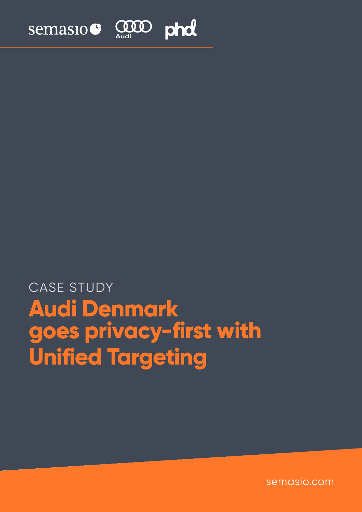

# **Audi Denmark goes privacy-first with Unified Targeting** CASE STUDY

semasio.com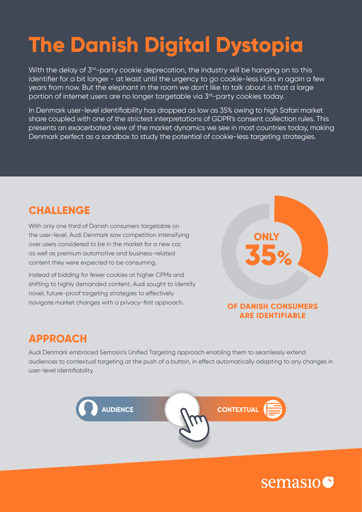# **The Danish Digital Dystopia**

With the delay of 3<sup>rd</sup>-party cookie deprecation, the industry will be hanging on to this identifier for a bit longer - at least until the urgency to go cookie-less kicks in again a few years from now. But the elephant in the room we don't like to talk about is that a large portion of internet users are no longer targetable via 3<sup>rd</sup>-party cookies today.

In Denmark user-level identifiability has dropped as low as 35% owing to high Safari market share coupled with one of the strictest interpretations of GDPR's consent collection rules. This presents an exacerbated view of the market dynamics we see in most countries today, making Denmark perfect as a sandbox to study the potential of cookie-less targeting strategies.

## **CHALLENGE**

With only one third of Danish consumers targetable on the user-level, Audi Denmark saw competition intensifying over users considered to be in the market for a new car, as well as premium automotive and business-related content they were expected to be consuming.

Instead of bidding for fewer cookies at higher CPMs and shifting to highly demanded content, Audi sought to identify novel, future-proof targeting strategies to effectively navigate market changes with a privacy-first approach.



#### **OF DANISH CONSUMERS ARE IDENTIFIABLE**

### **APPROACH**

Audi Denmark embraced Semasio's Unified Targeting approach enabling them to seamlessly extend audiences to contextual targeting at the push of a button, in effect automatically adapting to any changes in user-level identifiability.



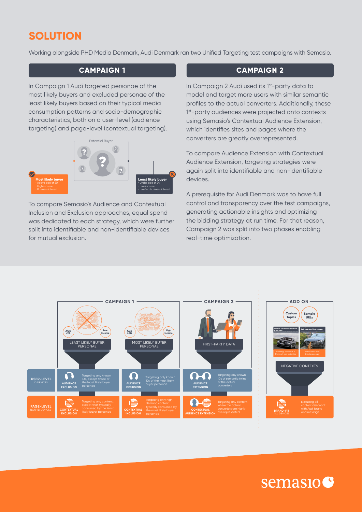## **SOLUTION**

Working alongside PHD Media Denmark, Audi Denmark ran two Unified Targeting test campaigns with Semasio.

#### **CAMPAIGN 1**

In Campaign 1 Audi targeted personae of the most likely buyers and excluded personae of the least likely buyers based on their typical media consumption patterns and socio-demographic characteristics, both on a user-level (audience targeting) and page-level (contextual targeting).



To compare Semasio's Audience and Contextual Inclusion and Exclusion approaches, equal spend was dedicated to each strategy, which were further split into identifiable and non-identifiable devices for mutual exclusion.

#### **CAMPAIGN 2**

In Campaign 2 Audi used its 1<sup>st</sup>-party data to model and target more users with similar semantic profiles to the actual converters. Additionally, these 1<sup>st</sup>-party audiences were projected onto contexts using Semasio's Contextual Audience Extension, which identifies sites and pages where the converters are greatly overrepresented.

To compare Audience Extension with Contextual Audience Extension, targeting strategies were again split into identifiable and non-identifiable devices.

A prerequisite for Audi Denmark was to have full control and transparency over the test campaigns, generating actionable insights and optimizing the bidding strategy at run time. For that reason, Campaign 2 was split into two phases enabling real-time optimization.





# semasio<sup>c</sup>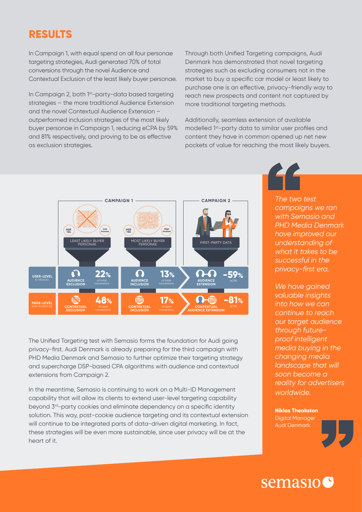## **RESULTS**

In Campaign 1, with equal spend on all four personae targeting strategies, Audi generated 70% of total conversions through the novel Audience and Contextual Exclusion of the least likely buyer personae.

In Campaign 2, both 1<sup>st</sup>-party-data based targeting strategies – the more traditional Audience Extension and the novel Contextual Audience Extension – outperformed inclusion strategies of the most likely buyer personae in Campaign 1, reducing eCPA by 59% and 81% respectively, and proving to be as effective as exclusion strategies.

Through both Unified Targeting campaigns, Audi Denmark has demonstrated that novel targeting strategies such as excluding consumers not in the market to buy a specific car model or least likely to purchase one is an effective, privacy-friendly way to reach new prospects and content not captured by more traditional targeting methods.

Additionally, seamless extension of available modelled 1st-party data to similar user profiles and content they have in common opened up net new pockets of value for reaching the most likely buyers.



The Unified Targeting test with Semasio forms the foundation for Audi going privacy-first. Audi Denmark is already preparing for the third campaign with PHD Media Denmark and Semasio to further optimize their targeting strategy and supercharge DSP-based CPA algorithms with audience and contextual extensions from Campaign 2.

In the meantime, Semasio is continuing to work on a Multi-ID Management capability that will allow its clients to extend user-level targeting capability beyond 3<sup>rd</sup>-party cookies and eliminate dependency on a specific identity solution. This way, post-cookie audience targeting and its contextual extension will continue to be integrated parts of data-driven digital marketing. In fact, these strategies will be even more sustainable, since user privacy will be at the heart of it.

*The two test campaigns we ran with Semasio and PHD Media Denmark have improved our understanding of what it takes to be successful in the privacy-first era.* 

*We have gained valuable insights into how we can continue to reach our target audience through futureproof intelligent media buying in the changing media landscape that will soon become a reality for advertisers worldwide.*

**Niklas Theakston** Digital Manager

Audi Denmark

## semasio C